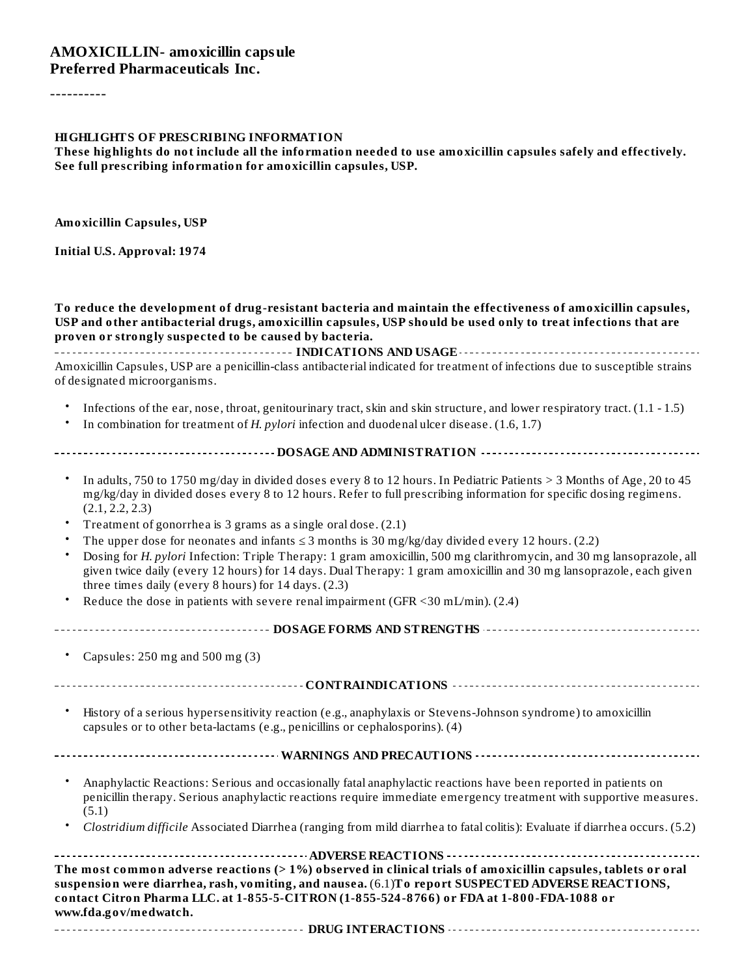#### **AMOXICILLIN- amoxicillin capsule Preferred Pharmaceuticals Inc.**

----------

#### **HIGHLIGHTS OF PRESCRIBING INFORMATION**

**These highlights do not include all the information needed to use amoxicillin capsules safely and effectively. See full prescribing information for amoxicillin capsules, USP.**

#### **Amoxicillin Capsules, USP**

**Initial U.S. Approval: 1974**

**To reduce the development of drug-resistant bacteria and maintain the effectiveness of amoxicillin capsules,** USP and other antibacterial drugs, amoxicillin capsules, USP should be used only to treat infections that are **proven or strongly suspected to be caused by bacteria.**

**INDICATIONS AND USAGE** Amoxicillin Capsules, USP are a penicillin-class antibacterial indicated for treatment of infections due to susceptible strains of designated microorganisms.

- Infections of the ear, nose, throat, genitourinary tract, skin and skin structure, and lower respiratory tract. (1.1 - 1.5)
- In combination for treatment of *H. pylori* infection and duodenal ulcer disease. (1.6, 1.7)
- **DOSAGE AND ADMINISTRATION** • In adults, 750 to 1750 mg/day in divided doses every 8 to 12 hours. In Pediatric Patients > 3 Months of Age, 20 to 45 mg/kg/day in divided doses every 8 to 12 hours. Refer to full prescribing information for specific dosing regimens. (2.1, 2.2, 2.3)
	- Treatment of gonorrhea is 3 grams as a single oral dose. (2.1)
	- The upper dose for neonates and infants  $\leq$  3 months is 30 mg/kg/day divided every 12 hours. (2.2)
	- Dosing for *H. pylori* Infection: Triple Therapy: 1 gram amoxicillin, 500 mg clarithromycin, and 30 mg lansoprazole, all given twice daily (every 12 hours) for 14 days. Dual Therapy: 1 gram amoxicillin and 30 mg lansoprazole, each given three times daily (every 8 hours) for 14 days. (2.3)
	- Reduce the dose in patients with severe renal impairment (GFR  $\leq$  30 mL/min). (2.4)
- **DOSAGE FORMS AND STRENGTHS**
	- Capsules: 250 mg and 500 mg (3)

**CONTRAINDICATIONS**

- History of a serious hypersensitivity reaction (e.g., anaphylaxis or Stevens-Johnson syndrome) to amoxicillin capsules or to other beta-lactams (e.g., penicillins or cephalosporins). (4)
- **WARNINGS AND PRECAUTIONS**
	- Anaphylactic Reactions: Serious and occasionally fatal anaphylactic reactions have been reported in patients on penicillin therapy. Serious anaphylactic reactions require immediate emergency treatment with supportive measures. (5.1)
	- *Clostridium difficile* Associated Diarrhea (ranging from mild diarrhea to fatal colitis): Evaluate if diarrhea occurs. (5.2)

**ADVERSE REACTIONS** The most common adverse reactions  $(>1%)$  observed in clinical trials of amoxicillin capsules, tablets or oral **suspension were diarrhea, rash, vomiting, and nausea.** (6.1)**To report SUSPECTED ADVERSE REACTIONS, contact Citron Pharma LLC. at 1-855-5-CITRON (1-855-524-8766) or FDA at 1-800-FDA-1088 or www.fda.gov/medwatch.**

**DRUG INTERACTIONS**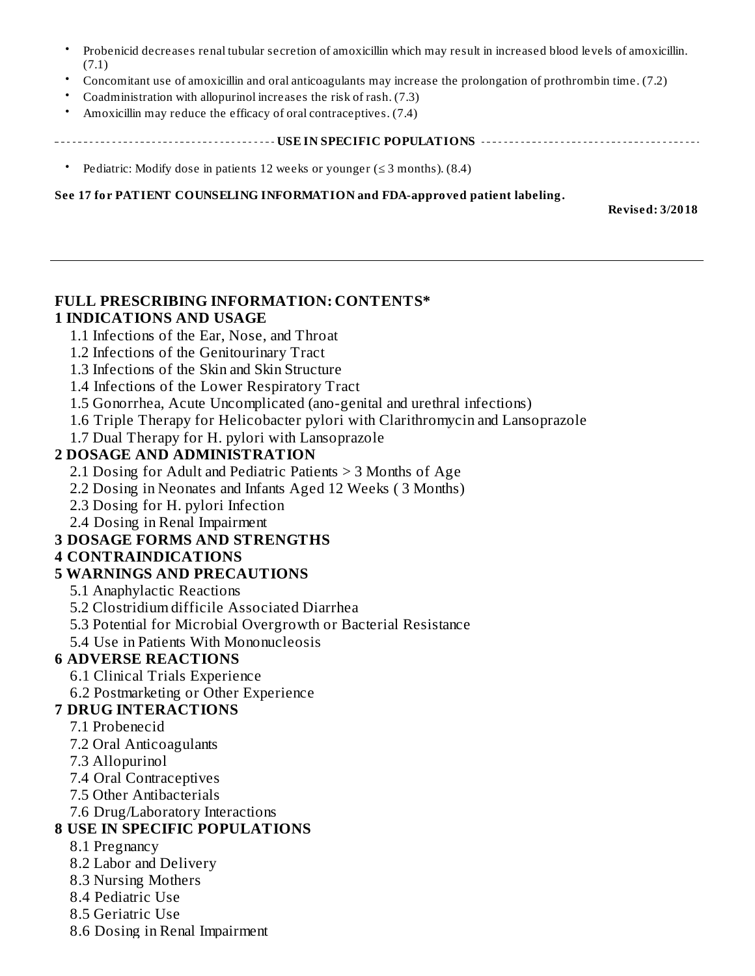- Probenicid decreases renal tubular secretion of amoxicillin which may result in increased blood levels of amoxicillin. (7.1)
- Concomitant use of amoxicillin and oral anticoagulants may increase the prolongation of prothrombin time. (7.2)
- Coadministration with allopurinol increases the risk of rash. (7.3)
- Amoxicillin may reduce the efficacy of oral contraceptives. (7.4)
- **USE IN SPECIFIC POPULATIONS**
- Pediatric: Modify dose in patients 12 weeks or younger (≤ 3 months). (8.4)

#### **See 17 for PATIENT COUNSELING INFORMATION and FDA-approved patient labeling.**

**Revised: 3/2018**

#### **FULL PRESCRIBING INFORMATION: CONTENTS\* 1 INDICATIONS AND USAGE**

- 1.1 Infections of the Ear, Nose, and Throat
- 1.2 Infections of the Genitourinary Tract
- 1.3 Infections of the Skin and Skin Structure
- 1.4 Infections of the Lower Respiratory Tract
- 1.5 Gonorrhea, Acute Uncomplicated (ano-genital and urethral infections)
- 1.6 Triple Therapy for Helicobacter pylori with Clarithromycin and Lansoprazole
- 1.7 Dual Therapy for H. pylori with Lansoprazole

#### **2 DOSAGE AND ADMINISTRATION**

- 2.1 Dosing for Adult and Pediatric Patients > 3 Months of Age
- 2.2 Dosing in Neonates and Infants Aged 12 Weeks ( 3 Months)
- 2.3 Dosing for H. pylori Infection
- 2.4 Dosing in Renal Impairment

#### **3 DOSAGE FORMS AND STRENGTHS**

#### **4 CONTRAINDICATIONS**

#### **5 WARNINGS AND PRECAUTIONS**

- 5.1 Anaphylactic Reactions
- 5.2 Clostridium difficile Associated Diarrhea
- 5.3 Potential for Microbial Overgrowth or Bacterial Resistance
- 5.4 Use in Patients With Mononucleosis

#### **6 ADVERSE REACTIONS**

- 6.1 Clinical Trials Experience
- 6.2 Postmarketing or Other Experience

#### **7 DRUG INTERACTIONS**

- 7.1 Probenecid
- 7.2 Oral Anticoagulants
- 7.3 Allopurinol
- 7.4 Oral Contraceptives
- 7.5 Other Antibacterials
- 7.6 Drug/Laboratory Interactions

#### **8 USE IN SPECIFIC POPULATIONS**

- 8.1 Pregnancy
- 8.2 Labor and Delivery
- 8.3 Nursing Mothers
- 8.4 Pediatric Use
- 8.5 Geriatric Use
- 8.6 Dosing in Renal Impairment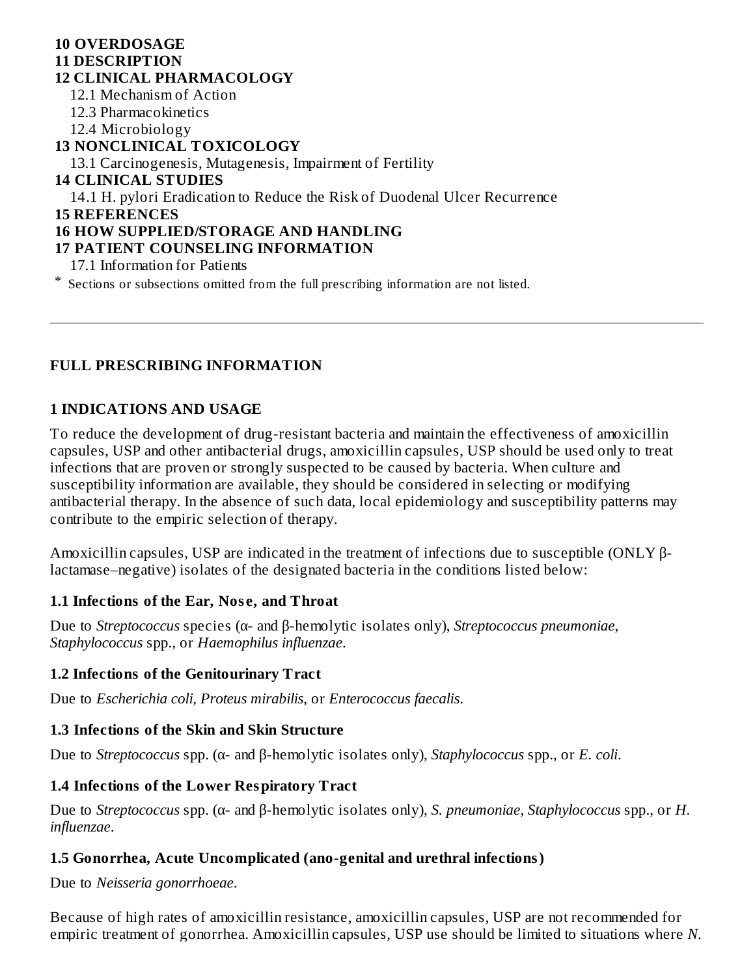#### **10 OVERDOSAGE 11 DESCRIPTION 12 CLINICAL PHARMACOLOGY**

12.1 Mechanism of Action

- 12.3 Pharmacokinetics
- 12.4 Microbiology

**13 NONCLINICAL TOXICOLOGY**

13.1 Carcinogenesis, Mutagenesis, Impairment of Fertility

# **14 CLINICAL STUDIES**

14.1 H. pylori Eradication to Reduce the Risk of Duodenal Ulcer Recurrence

**15 REFERENCES**

# **16 HOW SUPPLIED/STORAGE AND HANDLING**

## **17 PATIENT COUNSELING INFORMATION**

17.1 Information for Patients

\* Sections or subsections omitted from the full prescribing information are not listed.

# **FULL PRESCRIBING INFORMATION**

# **1 INDICATIONS AND USAGE**

To reduce the development of drug-resistant bacteria and maintain the effectiveness of amoxicillin capsules, USP and other antibacterial drugs, amoxicillin capsules, USP should be used only to treat infections that are proven or strongly suspected to be caused by bacteria. When culture and susceptibility information are available, they should be considered in selecting or modifying antibacterial therapy. In the absence of such data, local epidemiology and susceptibility patterns may contribute to the empiric selection of therapy.

Amoxicillin capsules, USP are indicated in the treatment of infections due to susceptible (ONLY βlactamase–negative) isolates of the designated bacteria in the conditions listed below:

## **1.1 Infections of the Ear, Nos e, and Throat**

Due to *Streptococcus* species (α- and β-hemolytic isolates only), *Streptococcus pneumoniae*, *Staphylococcus* spp., or *Haemophilus influenzae*.

## **1.2 Infections of the Genitourinary Tract**

Due to *Escherichia coli, Proteus mirabilis*, or *Enterococcus faecalis*.

## **1.3 Infections of the Skin and Skin Structure**

Due to *Streptococcus* spp. (α- and β-hemolytic isolates only), *Staphylococcus* spp., or *E. coli*.

## **1.4 Infections of the Lower Respiratory Tract**

Due to *Streptococcus* spp. (α- and β-hemolytic isolates only), *S. pneumoniae, Staphylococcus* spp., or *H. influenzae*.

## **1.5 Gonorrhea, Acute Uncomplicated (ano-genital and urethral infections)**

Due to *Neisseria gonorrhoeae*.

Because of high rates of amoxicillin resistance, amoxicillin capsules, USP are not recommended for empiric treatment of gonorrhea. Amoxicillin capsules, USP use should be limited to situations where *N.*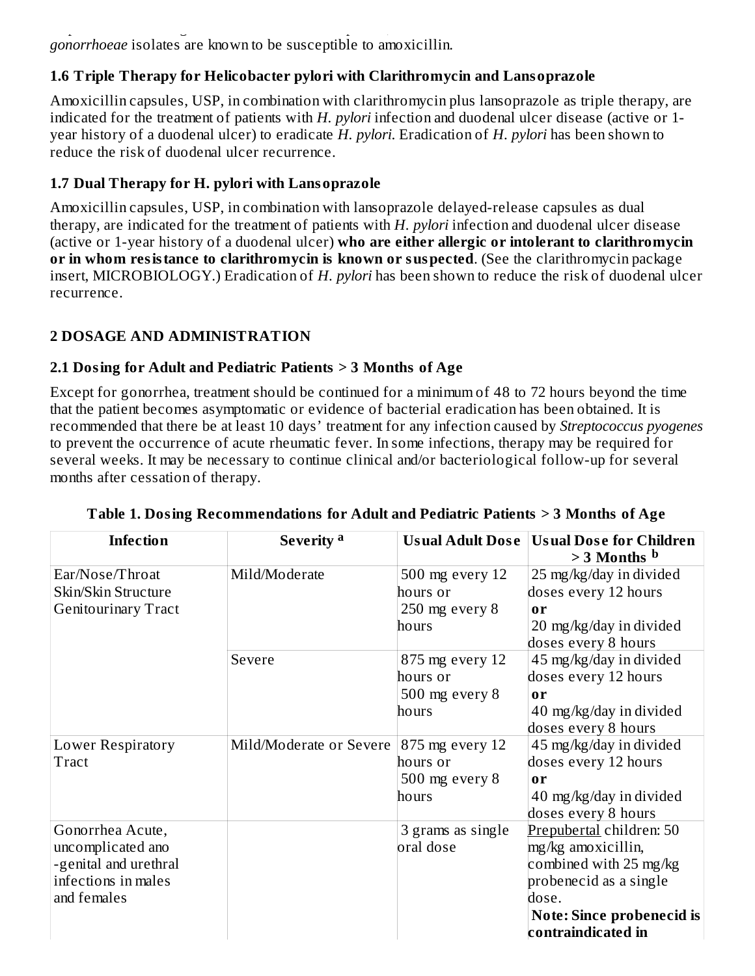empiric treatment of gonorrhea. Amoxicillin capsules, USP use should be limited to situations where *N. gonorrhoeae* isolates are known to be susceptible to amoxicillin.

# **1.6 Triple Therapy for Helicobacter pylori with Clarithromycin and Lansoprazole**

Amoxicillin capsules, USP, in combination with clarithromycin plus lansoprazole as triple therapy, are indicated for the treatment of patients with *H. pylori* infection and duodenal ulcer disease (active or 1 year history of a duodenal ulcer) to eradicate *H. pylori*. Eradication of *H. pylori* has been shown to reduce the risk of duodenal ulcer recurrence.

# **1.7 Dual Therapy for H. pylori with Lansoprazole**

Amoxicillin capsules, USP, in combination with lansoprazole delayed-release capsules as dual therapy, are indicated for the treatment of patients with *H. pylori* infection and duodenal ulcer disease (active or 1-year history of a duodenal ulcer) **who are either allergic or intolerant to clarithromycin or in whom resistance to clarithromycin is known or suspected**. (See the clarithromycin package insert, MICROBIOLOGY.) Eradication of *H. pylori* has been shown to reduce the risk of duodenal ulcer recurrence.

# **2 DOSAGE AND ADMINISTRATION**

## **2.1 Dosing for Adult and Pediatric Patients > 3 Months of Age**

Except for gonorrhea, treatment should be continued for a minimum of 48 to 72 hours beyond the time that the patient becomes asymptomatic or evidence of bacterial eradication has been obtained. It is recommended that there be at least 10 days' treatment for any infection caused by *Streptococcus pyogenes* to prevent the occurrence of acute rheumatic fever. In some infections, therapy may be required for several weeks. It may be necessary to continue clinical and/or bacteriological follow-up for several months after cessation of therapy.

| <b>Infection</b>           | Severity <sup>a</sup>   | <b>Usual Adult Dose</b> | <b>Usual Dose for Children</b><br>$>$ 3 Months $b$ |
|----------------------------|-------------------------|-------------------------|----------------------------------------------------|
| Ear/Nose/Throat            | Mild/Moderate           | 500 mg every 12         | 25 mg/kg/day in divided                            |
| Skin/Skin Structure        |                         | hours or                | doses every 12 hours                               |
| <b>Genitourinary Tract</b> |                         | 250 mg every 8          | 0 <sup>r</sup>                                     |
|                            |                         | hours                   | 20 mg/kg/day in divided                            |
|                            |                         |                         | doses every 8 hours                                |
|                            | Severe                  | 875 mg every 12         | 45 mg/kg/day in divided                            |
|                            |                         | hours or                | doses every 12 hours                               |
|                            |                         | 500 mg every 8          | 0 <sub>r</sub>                                     |
|                            |                         | hours                   | 40 mg/kg/day in divided                            |
|                            |                         |                         | doses every 8 hours                                |
| Lower Respiratory          | Mild/Moderate or Severe | 875 mg every 12         | 45 mg/kg/day in divided                            |
| Tract                      |                         | hours or                | doses every 12 hours                               |
|                            |                         | 500 mg every 8          | 0 <sub>r</sub>                                     |
|                            |                         | hours                   | 40 mg/kg/day in divided                            |
|                            |                         |                         | doses every 8 hours                                |
| Gonorrhea Acute,           |                         | 3 grams as single       | Prepubertal children: 50                           |
| uncomplicated ano          |                         | oral dose               | mg/kg amoxicillin,                                 |
| -genital and urethral      |                         |                         | combined with 25 mg/kg                             |
| infections in males        |                         |                         | probenecid as a single                             |
| and females                |                         |                         | dose.                                              |
|                            |                         |                         | <b>Note: Since probenecid is</b>                   |
|                            |                         |                         | contraindicated in                                 |

**Table 1. Dosing Recommendations for Adult and Pediatric Patients > 3 Months of Age**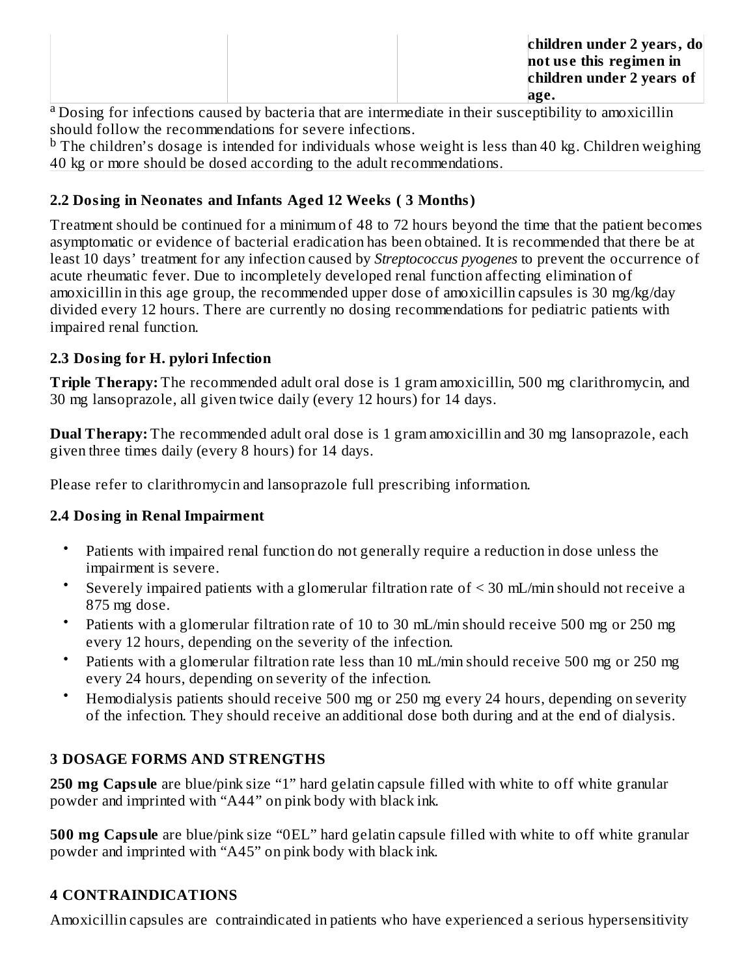| children under 2 years, do |
|----------------------------|
| not use this regimen in    |
| children under 2 years of  |
| age                        |

<sup>a</sup> Dosing for infections caused by bacteria that are intermediate in their susceptibility to amoxicillin should follow the recommendations for severe infections.

 $^{\rm b}$  The children's dosage is intended for individuals whose weight is less than 40 kg. Children weighing 40 kg or more should be dosed according to the adult recommendations.

#### **2.2 Dosing in Neonates and Infants Aged 12 Weeks ( 3 Months)**

Treatment should be continued for a minimum of 48 to 72 hours beyond the time that the patient becomes asymptomatic or evidence of bacterial eradication has been obtained. It is recommended that there be at least 10 days' treatment for any infection caused by *Streptococcus pyogenes* to prevent the occurrence of acute rheumatic fever. Due to incompletely developed renal function affecting elimination of amoxicillin in this age group, the recommended upper dose of amoxicillin capsules is 30 mg/kg/day divided every 12 hours. There are currently no dosing recommendations for pediatric patients with impaired renal function.

#### **2.3 Dosing for H. pylori Infection**

**Triple Therapy:** The recommended adult oral dose is 1 gram amoxicillin, 500 mg clarithromycin, and 30 mg lansoprazole, all given twice daily (every 12 hours) for 14 days.

**Dual Therapy:** The recommended adult oral dose is 1 gram amoxicillin and 30 mg lansoprazole, each given three times daily (every 8 hours) for 14 days.

Please refer to clarithromycin and lansoprazole full prescribing information.

## **2.4 Dosing in Renal Impairment**

- Patients with impaired renal function do not generally require a reduction in dose unless the impairment is severe.
- Severely impaired patients with a glomerular filtration rate of < 30 mL/min should not receive a 875 mg dose.
- Patients with a glomerular filtration rate of 10 to 30 mL/min should receive 500 mg or 250 mg every 12 hours, depending on the severity of the infection.
- Patients with a glomerular filtration rate less than 10 mL/min should receive 500 mg or 250 mg every 24 hours, depending on severity of the infection.
- Hemodialysis patients should receive 500 mg or 250 mg every 24 hours, depending on severity of the infection. They should receive an additional dose both during and at the end of dialysis.

## **3 DOSAGE FORMS AND STRENGTHS**

**250 mg Capsule** are blue/pink size "1" hard gelatin capsule filled with white to off white granular powder and imprinted with "A44" on pink body with black ink.

**500 mg Capsule** are blue/pink size "0EL" hard gelatin capsule filled with white to off white granular powder and imprinted with "A45" on pink body with black ink.

## **4 CONTRAINDICATIONS**

Amoxicillin capsules are contraindicated in patients who have experienced a serious hypersensitivity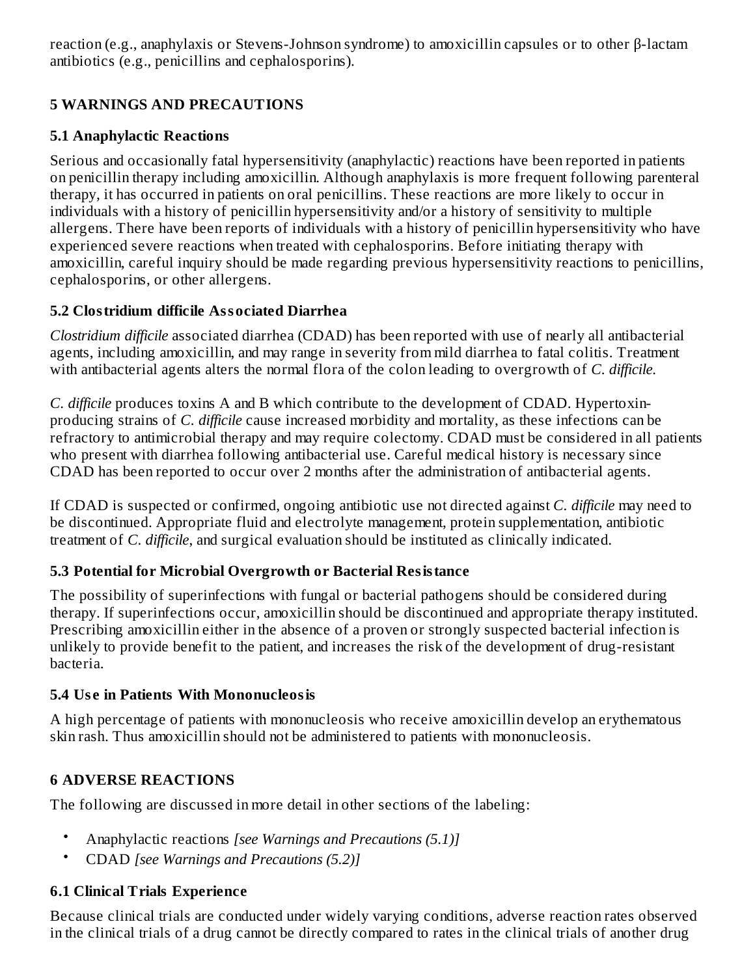reaction (e.g., anaphylaxis or Stevens-Johnson syndrome) to amoxicillin capsules or to other β-lactam antibiotics (e.g., penicillins and cephalosporins).

# **5 WARNINGS AND PRECAUTIONS**

#### **5.1 Anaphylactic Reactions**

Serious and occasionally fatal hypersensitivity (anaphylactic) reactions have been reported in patients on penicillin therapy including amoxicillin. Although anaphylaxis is more frequent following parenteral therapy, it has occurred in patients on oral penicillins. These reactions are more likely to occur in individuals with a history of penicillin hypersensitivity and/or a history of sensitivity to multiple allergens. There have been reports of individuals with a history of penicillin hypersensitivity who have experienced severe reactions when treated with cephalosporins. Before initiating therapy with amoxicillin, careful inquiry should be made regarding previous hypersensitivity reactions to penicillins, cephalosporins, or other allergens.

## **5.2 Clostridium difficile Associated Diarrhea**

*Clostridium difficile* associated diarrhea (CDAD) has been reported with use of nearly all antibacterial agents, including amoxicillin, and may range in severity from mild diarrhea to fatal colitis. Treatment with antibacterial agents alters the normal flora of the colon leading to overgrowth of *C. difficile.*

*C. difficile* produces toxins A and B which contribute to the development of CDAD. Hypertoxinproducing strains of *C. difficile* cause increased morbidity and mortality, as these infections can be refractory to antimicrobial therapy and may require colectomy. CDAD must be considered in all patients who present with diarrhea following antibacterial use. Careful medical history is necessary since CDAD has been reported to occur over 2 months after the administration of antibacterial agents.

If CDAD is suspected or confirmed, ongoing antibiotic use not directed against *C. difficile* may need to be discontinued. Appropriate fluid and electrolyte management, protein supplementation, antibiotic treatment of *C. difficile*, and surgical evaluation should be instituted as clinically indicated.

## **5.3 Potential for Microbial Overgrowth or Bacterial Resistance**

The possibility of superinfections with fungal or bacterial pathogens should be considered during therapy. If superinfections occur, amoxicillin should be discontinued and appropriate therapy instituted. Prescribing amoxicillin either in the absence of a proven or strongly suspected bacterial infection is unlikely to provide benefit to the patient, and increases the risk of the development of drug-resistant bacteria.

#### **5.4 Us e in Patients With Mononucleosis**

A high percentage of patients with mononucleosis who receive amoxicillin develop an erythematous skin rash. Thus amoxicillin should not be administered to patients with mononucleosis.

## **6 ADVERSE REACTIONS**

The following are discussed in more detail in other sections of the labeling:

- Anaphylactic reactions *[see Warnings and Precautions (5.1)]*
- CDAD *[see Warnings and Precautions (5.2)]*

# **6.1 Clinical Trials Experience**

Because clinical trials are conducted under widely varying conditions, adverse reaction rates observed in the clinical trials of a drug cannot be directly compared to rates in the clinical trials of another drug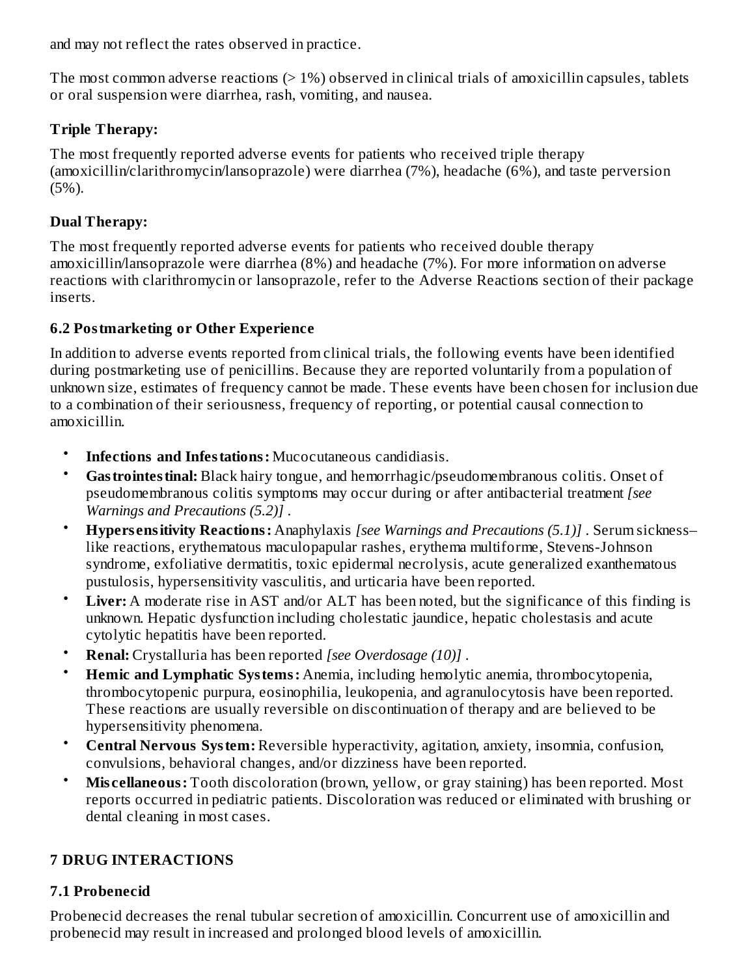and may not reflect the rates observed in practice.

The most common adverse reactions  $(>1%)$  observed in clinical trials of amoxicillin capsules, tablets or oral suspension were diarrhea, rash, vomiting, and nausea.

# **Triple Therapy:**

The most frequently reported adverse events for patients who received triple therapy (amoxicillin/clarithromycin/lansoprazole) were diarrhea (7%), headache (6%), and taste perversion (5%).

## **Dual Therapy:**

The most frequently reported adverse events for patients who received double therapy amoxicillin/lansoprazole were diarrhea (8%) and headache (7%). For more information on adverse reactions with clarithromycin or lansoprazole, refer to the Adverse Reactions section of their package inserts.

# **6.2 Postmarketing or Other Experience**

In addition to adverse events reported from clinical trials, the following events have been identified during postmarketing use of penicillins. Because they are reported voluntarily from a population of unknown size, estimates of frequency cannot be made. These events have been chosen for inclusion due to a combination of their seriousness, frequency of reporting, or potential causal connection to amoxicillin.

- **Infections and Infestations:** Mucocutaneous candidiasis.
- **Gastrointestinal:** Black hairy tongue, and hemorrhagic/pseudomembranous colitis. Onset of pseudomembranous colitis symptoms may occur during or after antibacterial treatment *[see Warnings and Precautions (5.2)]* .
- **Hypers ensitivity Reactions:** Anaphylaxis *[see Warnings and Precautions (5.1)]* . Serum sickness– like reactions, erythematous maculopapular rashes, erythema multiforme, Stevens-Johnson syndrome, exfoliative dermatitis, toxic epidermal necrolysis, acute generalized exanthematous pustulosis, hypersensitivity vasculitis, and urticaria have been reported.
- **Liver:** A moderate rise in AST and/or ALT has been noted, but the significance of this finding is unknown. Hepatic dysfunction including cholestatic jaundice, hepatic cholestasis and acute cytolytic hepatitis have been reported.
- **Renal:** Crystalluria has been reported *[see Overdosage (10)]* .
- **Hemic and Lymphatic Systems:** Anemia, including hemolytic anemia, thrombocytopenia, thrombocytopenic purpura, eosinophilia, leukopenia, and agranulocytosis have been reported. These reactions are usually reversible on discontinuation of therapy and are believed to be hypersensitivity phenomena.
- **Central Nervous System:** Reversible hyperactivity, agitation, anxiety, insomnia, confusion, convulsions, behavioral changes, and/or dizziness have been reported.
- **Mis cellaneous:** Tooth discoloration (brown, yellow, or gray staining) has been reported. Most reports occurred in pediatric patients. Discoloration was reduced or eliminated with brushing or dental cleaning in most cases.

# **7 DRUG INTERACTIONS**

## **7.1 Probenecid**

Probenecid decreases the renal tubular secretion of amoxicillin. Concurrent use of amoxicillin and probenecid may result in increased and prolonged blood levels of amoxicillin.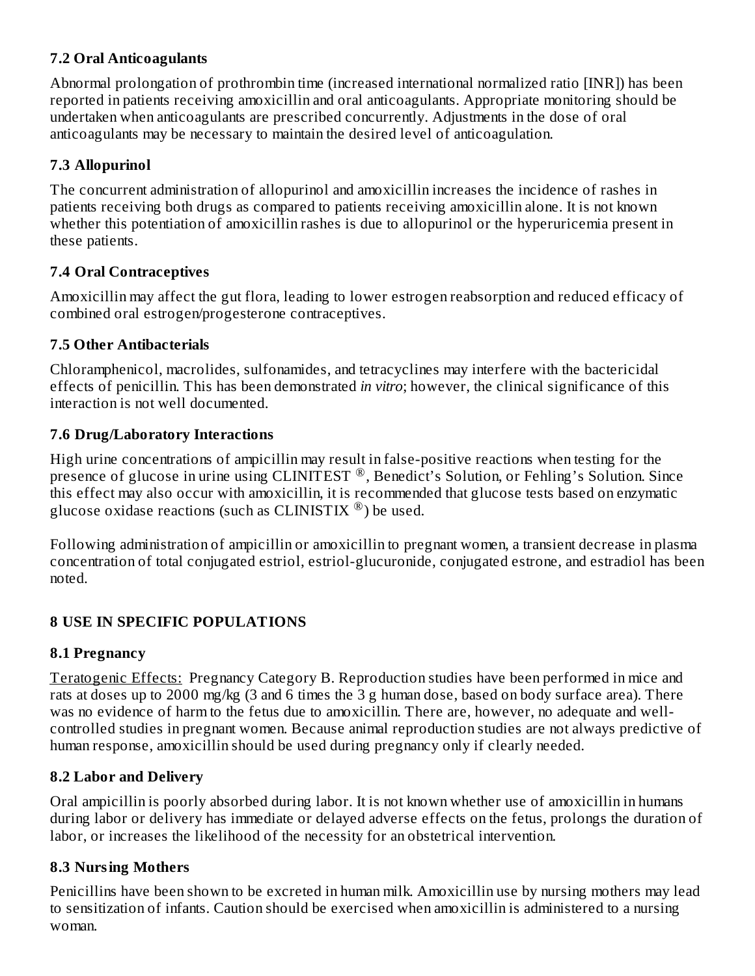## **7.2 Oral Anticoagulants**

Abnormal prolongation of prothrombin time (increased international normalized ratio [INR]) has been reported in patients receiving amoxicillin and oral anticoagulants. Appropriate monitoring should be undertaken when anticoagulants are prescribed concurrently. Adjustments in the dose of oral anticoagulants may be necessary to maintain the desired level of anticoagulation.

# **7.3 Allopurinol**

The concurrent administration of allopurinol and amoxicillin increases the incidence of rashes in patients receiving both drugs as compared to patients receiving amoxicillin alone. It is not known whether this potentiation of amoxicillin rashes is due to allopurinol or the hyperuricemia present in these patients.

# **7.4 Oral Contraceptives**

Amoxicillin may affect the gut flora, leading to lower estrogen reabsorption and reduced efficacy of combined oral estrogen/progesterone contraceptives.

# **7.5 Other Antibacterials**

Chloramphenicol, macrolides, sulfonamides, and tetracyclines may interfere with the bactericidal effects of penicillin. This has been demonstrated *in vitro*; however, the clinical significance of this interaction is not well documented.

# **7.6 Drug/Laboratory Interactions**

High urine concentrations of ampicillin may result in false-positive reactions when testing for the presence of glucose in urine using CLINITEST ®, Benedict's Solution, or Fehling's Solution. Since this effect may also occur with amoxicillin, it is recommended that glucose tests based on enzymatic glucose oxidase reactions (such as CLINISTIX  $^{\circledR}$ ) be used.

Following administration of ampicillin or amoxicillin to pregnant women, a transient decrease in plasma concentration of total conjugated estriol, estriol-glucuronide, conjugated estrone, and estradiol has been noted.

# **8 USE IN SPECIFIC POPULATIONS**

## **8.1 Pregnancy**

Teratogenic Effects: Pregnancy Category B. Reproduction studies have been performed in mice and rats at doses up to 2000 mg/kg (3 and 6 times the 3 g human dose, based on body surface area). There was no evidence of harm to the fetus due to amoxicillin. There are, however, no adequate and wellcontrolled studies in pregnant women. Because animal reproduction studies are not always predictive of human response, amoxicillin should be used during pregnancy only if clearly needed.

# **8.2 Labor and Delivery**

Oral ampicillin is poorly absorbed during labor. It is not known whether use of amoxicillin in humans during labor or delivery has immediate or delayed adverse effects on the fetus, prolongs the duration of labor, or increases the likelihood of the necessity for an obstetrical intervention.

## **8.3 Nursing Mothers**

Penicillins have been shown to be excreted in human milk. Amoxicillin use by nursing mothers may lead to sensitization of infants. Caution should be exercised when amoxicillin is administered to a nursing woman.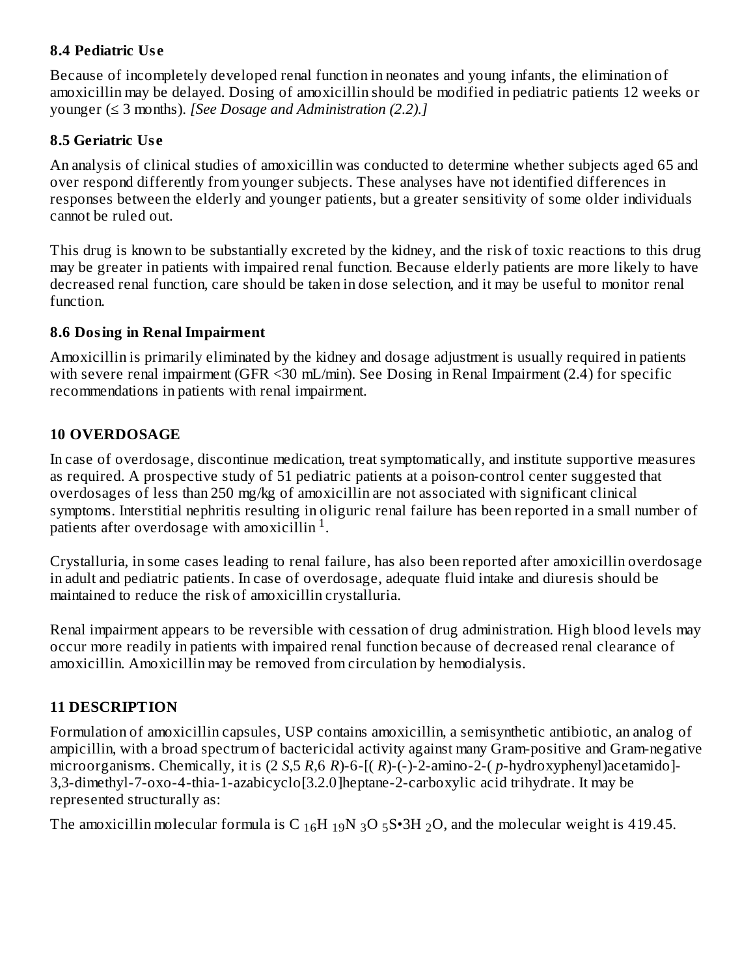#### **8.4 Pediatric Us e**

Because of incompletely developed renal function in neonates and young infants, the elimination of amoxicillin may be delayed. Dosing of amoxicillin should be modified in pediatric patients 12 weeks or younger (≤ 3 months). *[See Dosage and Administration (2.2).]*

## **8.5 Geriatric Us e**

An analysis of clinical studies of amoxicillin was conducted to determine whether subjects aged 65 and over respond differently from younger subjects. These analyses have not identified differences in responses between the elderly and younger patients, but a greater sensitivity of some older individuals cannot be ruled out.

This drug is known to be substantially excreted by the kidney, and the risk of toxic reactions to this drug may be greater in patients with impaired renal function. Because elderly patients are more likely to have decreased renal function, care should be taken in dose selection, and it may be useful to monitor renal function.

#### **8.6 Dosing in Renal Impairment**

Amoxicillin is primarily eliminated by the kidney and dosage adjustment is usually required in patients with severe renal impairment (GFR <30 mL/min). See Dosing in Renal Impairment (2.4) for specific recommendations in patients with renal impairment.

# **10 OVERDOSAGE**

In case of overdosage, discontinue medication, treat symptomatically, and institute supportive measures as required. A prospective study of 51 pediatric patients at a poison-control center suggested that overdosages of less than 250 mg/kg of amoxicillin are not associated with significant clinical symptoms. Interstitial nephritis resulting in oliguric renal failure has been reported in a small number of patients after overdosage with amoxicillin  $1$ .

Crystalluria, in some cases leading to renal failure, has also been reported after amoxicillin overdosage in adult and pediatric patients. In case of overdosage, adequate fluid intake and diuresis should be maintained to reduce the risk of amoxicillin crystalluria.

Renal impairment appears to be reversible with cessation of drug administration. High blood levels may occur more readily in patients with impaired renal function because of decreased renal clearance of amoxicillin. Amoxicillin may be removed from circulation by hemodialysis.

## **11 DESCRIPTION**

Formulation of amoxicillin capsules, USP contains amoxicillin, a semisynthetic antibiotic, an analog of ampicillin, with a broad spectrum of bactericidal activity against many Gram-positive and Gram-negative microorganisms. Chemically, it is (2 *S*,5 *R*,6 *R*)-6-[( *R*)-(-)-2-amino-2-( *p*-hydroxyphenyl)acetamido]- 3,3-dimethyl-7-oxo-4-thia-1-azabicyclo[3.2.0]heptane-2-carboxylic acid trihydrate. It may be represented structurally as:

The amoxicillin molecular formula is C  $_{16}H_{19}N_{3}O_5S\cdot 3H_2O$ , and the molecular weight is 419.45.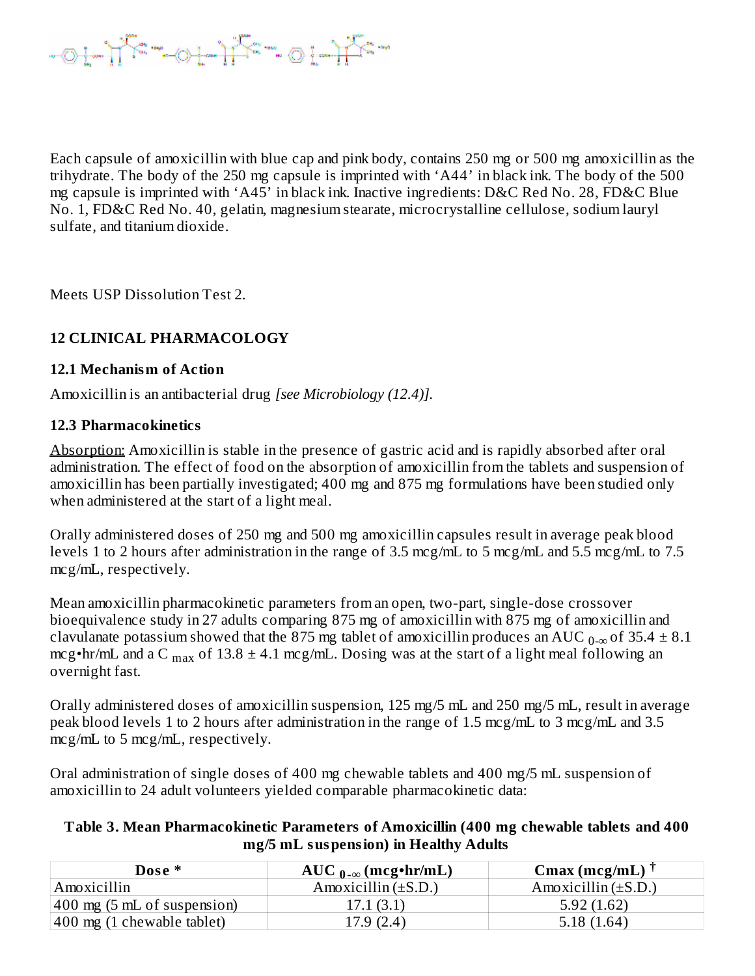Each capsule of amoxicillin with blue cap and pink body, contains 250 mg or 500 mg amoxicillin as the trihydrate. The body of the 250 mg capsule is imprinted with 'A44' in black ink. The body of the 500 mg capsule is imprinted with 'A45' in black ink. Inactive ingredients: D&C Red No. 28, FD&C Blue No. 1, FD&C Red No. 40, gelatin, magnesium stearate, microcrystalline cellulose, sodium lauryl sulfate, and titanium dioxide.

Meets USP Dissolution Test 2.

## **12 CLINICAL PHARMACOLOGY**

#### **12.1 Mechanism of Action**

Amoxicillin is an antibacterial drug *[see Microbiology (12.4)].*

#### **12.3 Pharmacokinetics**

Absorption: Amoxicillin is stable in the presence of gastric acid and is rapidly absorbed after oral administration. The effect of food on the absorption of amoxicillin from the tablets and suspension of amoxicillin has been partially investigated; 400 mg and 875 mg formulations have been studied only when administered at the start of a light meal.

Orally administered doses of 250 mg and 500 mg amoxicillin capsules result in average peak blood levels 1 to 2 hours after administration in the range of 3.5 mcg/mL to 5 mcg/mL and 5.5 mcg/mL to 7.5 mcg/mL, respectively.

Mean amoxicillin pharmacokinetic parameters from an open, two-part, single-dose crossover bioequivalence study in 27 adults comparing 875 mg of amoxicillin with 875 mg of amoxicillin and clavulanate potassium showed that the 875 mg tablet of amoxicillin produces an AUC  $_{0-\infty}$  of 35.4  $\pm$  8.1 mcg•hr/mL and a C  $_{\rm max}$  of 13.8  $\pm$  4.1 mcg/mL. Dosing was at the start of a light meal following an overnight fast.

Orally administered doses of amoxicillin suspension, 125 mg/5 mL and 250 mg/5 mL, result in average peak blood levels 1 to 2 hours after administration in the range of 1.5 mcg/mL to 3 mcg/mL and 3.5 mcg/mL to 5 mcg/mL, respectively.

Oral administration of single doses of 400 mg chewable tablets and 400 mg/5 mL suspension of amoxicillin to 24 adult volunteers yielded comparable pharmacokinetic data:

| Table 3. Mean Pharmacokinetic Parameters of Amoxicillin (400 mg chewable tablets and 400 |
|------------------------------------------------------------------------------------------|
| mg/5 mL suspension) in Healthy Adults                                                    |

| Dose $*$                              | AUC $_{0-\infty}$ (mcg•hr/mL) | Cmax (mcg/mL) $\top$     |  |  |
|---------------------------------------|-------------------------------|--------------------------|--|--|
| Amoxicillin                           | Amoxicillin $(\pm S.D.)$      | Amoxicillin $(\pm S.D.)$ |  |  |
| $1400$ mg (5 mL of suspension)        | 17.1(3.1)                     | 5.92(1.62)               |  |  |
| $ 400 \text{ mg}$ (1 chewable tablet) | 17.9 (2.4)                    | 5.18(1.64)               |  |  |
|                                       |                               |                          |  |  |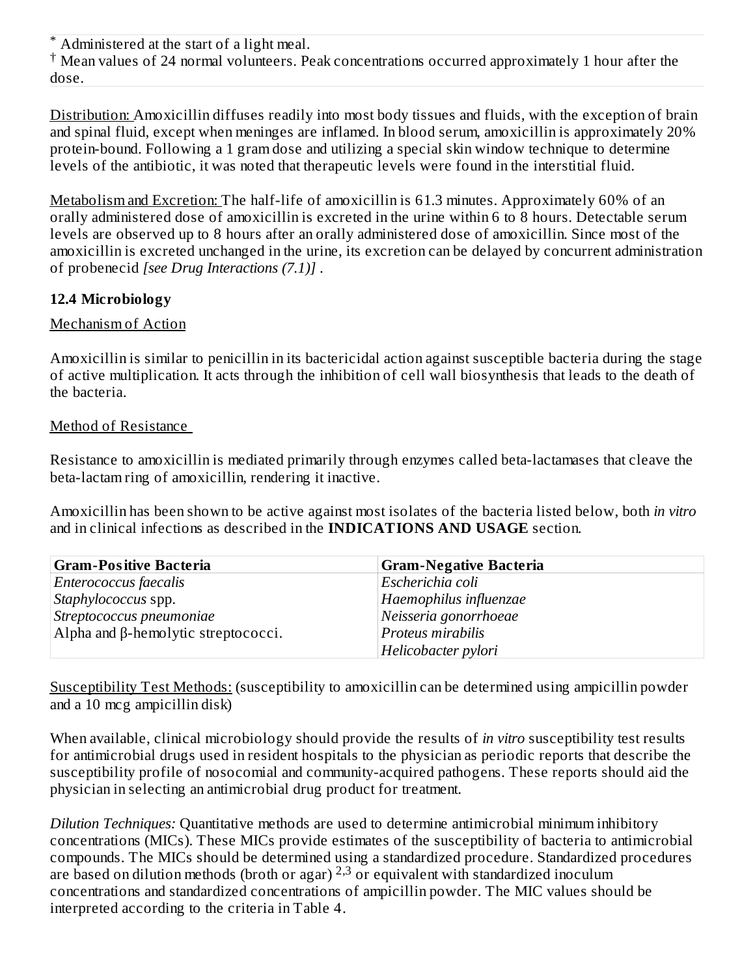Administered at the start of a light meal. \*

Mean values of 24 normal volunteers. Peak concentrations occurred approximately 1 hour after the † dose.

Distribution: Amoxicillin diffuses readily into most body tissues and fluids, with the exception of brain and spinal fluid, except when meninges are inflamed. In blood serum, amoxicillin is approximately 20% protein-bound. Following a 1 gram dose and utilizing a special skin window technique to determine levels of the antibiotic, it was noted that therapeutic levels were found in the interstitial fluid.

Metabolism and Excretion: The half-life of amoxicillin is 61.3 minutes. Approximately 60% of an orally administered dose of amoxicillin is excreted in the urine within 6 to 8 hours. Detectable serum levels are observed up to 8 hours after an orally administered dose of amoxicillin. Since most of the amoxicillin is excreted unchanged in the urine, its excretion can be delayed by concurrent administration of probenecid *[see Drug Interactions (7.1)]* .

## **12.4 Microbiology**

#### Mechanism of Action

Amoxicillin is similar to penicillin in its bactericidal action against susceptible bacteria during the stage of active multiplication. It acts through the inhibition of cell wall biosynthesis that leads to the death of the bacteria.

#### Method of Resistance

Resistance to amoxicillin is mediated primarily through enzymes called beta-lactamases that cleave the beta-lactam ring of amoxicillin, rendering it inactive.

Amoxicillin has been shown to be active against most isolates of the bacteria listed below, both *in vitro* and in clinical infections as described in the **INDICATIONS AND USAGE** section.

| <b>Gram-Positive Bacteria</b>              | <b>Gram-Negative Bacteria</b> |
|--------------------------------------------|-------------------------------|
| Enterococcus faecalis                      | Escherichia coli              |
| Staphylococcus spp.                        | Haemophilus influenzae        |
| Streptococcus pneumoniae                   | Neisseria gonorrhoeae         |
| Alpha and $\beta$ -hemolytic streptococci. | Proteus mirabilis             |
|                                            | Helicobacter pylori           |

Susceptibility Test Methods: (susceptibility to amoxicillin can be determined using ampicillin powder and a 10 mcg ampicillin disk)

When available, clinical microbiology should provide the results of *in vitro* susceptibility test results for antimicrobial drugs used in resident hospitals to the physician as periodic reports that describe the susceptibility profile of nosocomial and community-acquired pathogens. These reports should aid the physician in selecting an antimicrobial drug product for treatment.

*Dilution Techniques:* Quantitative methods are used to determine antimicrobial minimum inhibitory concentrations (MICs). These MICs provide estimates of the susceptibility of bacteria to antimicrobial compounds. The MICs should be determined using a standardized procedure. Standardized procedures are based on dilution methods (broth or agar)  $^{2,3}$  or equivalent with standardized inoculum concentrations and standardized concentrations of ampicillin powder. The MIC values should be interpreted according to the criteria in Table 4.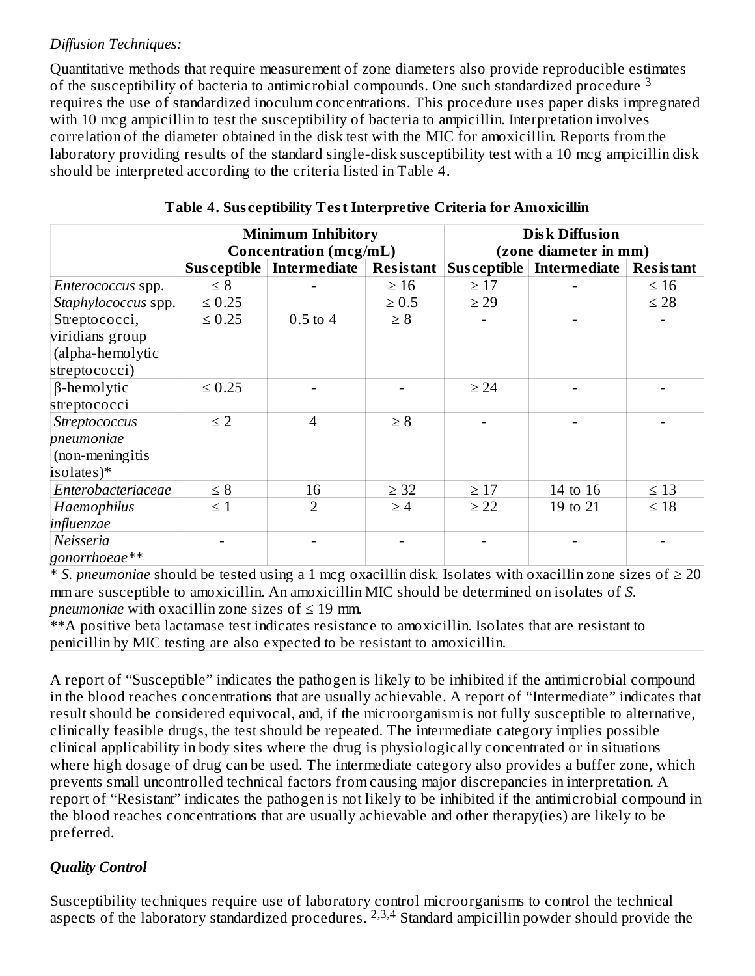#### *Diffusion Techniques:*

Quantitative methods that require measurement of zone diameters also provide reproducible estimates of the susceptibility of bacteria to antimicrobial compounds. One such standardized procedure <sup>3</sup> requires the use of standardized inoculum concentrations. This procedure uses paper disks impregnated with 10 mcg ampicillin to test the susceptibility of bacteria to ampicillin. Interpretation involves correlation of the diameter obtained in the disk test with the MIC for amoxicillin. Reports from the laboratory providing results of the standard single-disk susceptibility test with a 10 mcg ampicillin disk should be interpreted according to the criteria listed in Table 4.

|                          | <b>Minimum Inhibitory</b> |                                                 |            | <b>Disk Diffusion</b> |                             |                  |  |  |
|--------------------------|---------------------------|-------------------------------------------------|------------|-----------------------|-----------------------------|------------------|--|--|
|                          |                           | <b>Concentration (mcg/mL)</b>                   |            |                       | (zone diameter in mm)       |                  |  |  |
|                          |                           | Sus ceptible   Intermediate<br><b>Resistant</b> |            |                       | Sus ceptible   Intermediate | <b>Resistant</b> |  |  |
| <i>Enterococcus</i> spp. | $\leq 8$                  |                                                 | $\geq 16$  | $\geq 17$             |                             | $\leq 16$        |  |  |
| Staphylococcus spp.      | $\leq 0.25$               |                                                 | $\geq 0.5$ | $\geq$ 29             |                             | $\leq 28$        |  |  |
| Streptococci,            | $\leq 0.25$               | $0.5$ to 4                                      | $\geq 8$   |                       |                             |                  |  |  |
| viridians group          |                           |                                                 |            |                       |                             |                  |  |  |
| (alpha-hemolytic         |                           |                                                 |            |                       |                             |                  |  |  |
| streptococci)            |                           |                                                 |            |                       |                             |                  |  |  |
| $\beta$ -hemolytic       | $\leq 0.25$               |                                                 |            | $\geq 24$             |                             |                  |  |  |
| streptococci             |                           |                                                 |            |                       |                             |                  |  |  |
| Streptococcus            | $\leq$ 2                  | 4                                               | $\geq 8$   |                       |                             |                  |  |  |
| pneumoniae               |                           |                                                 |            |                       |                             |                  |  |  |
| (non-meningitis          |                           |                                                 |            |                       |                             |                  |  |  |
| isolates)*               |                           |                                                 |            |                       |                             |                  |  |  |
| Enterobacteriaceae       | $\leq 8$                  | 16                                              | $\geq$ 32  | $\geq 17$             | 14 to 16                    | $\leq 13$        |  |  |
| Haemophilus              | $\leq 1$                  | $\overline{2}$                                  | $\geq 4$   | $\geq$ 22             | 19 to 21                    | $\leq 18$        |  |  |
| influenzae               |                           |                                                 |            |                       |                             |                  |  |  |
| Neisseria                |                           |                                                 |            |                       |                             |                  |  |  |
| qonorrhoeae**            |                           |                                                 |            |                       |                             |                  |  |  |

\* *S. pneumoniae* should be tested using a 1 mcg oxacillin disk. Isolates with oxacillin zone sizes of ≥ 20 mm are susceptible to amoxicillin. An amoxicillin MIC should be determined on isolates of *S. pneumoniae* with oxacillin zone sizes of  $\leq 19$  mm.

\*\*A positive beta lactamase test indicates resistance to amoxicillin. Isolates that are resistant to penicillin by MIC testing are also expected to be resistant to amoxicillin.

A report of "Susceptible" indicates the pathogen is likely to be inhibited if the antimicrobial compound in the blood reaches concentrations that are usually achievable. A report of "Intermediate" indicates that result should be considered equivocal, and, if the microorganism is not fully susceptible to alternative, clinically feasible drugs, the test should be repeated. The intermediate category implies possible clinical applicability in body sites where the drug is physiologically concentrated or in situations where high dosage of drug can be used. The intermediate category also provides a buffer zone, which prevents small uncontrolled technical factors from causing major discrepancies in interpretation. A report of "Resistant" indicates the pathogen is not likely to be inhibited if the antimicrobial compound in the blood reaches concentrations that are usually achievable and other therapy(ies) are likely to be preferred.

# *Quality Control*

Susceptibility techniques require use of laboratory control microorganisms to control the technical aspects of the laboratory standardized procedures.  $2,3,4$  Standard ampicillin powder should provide the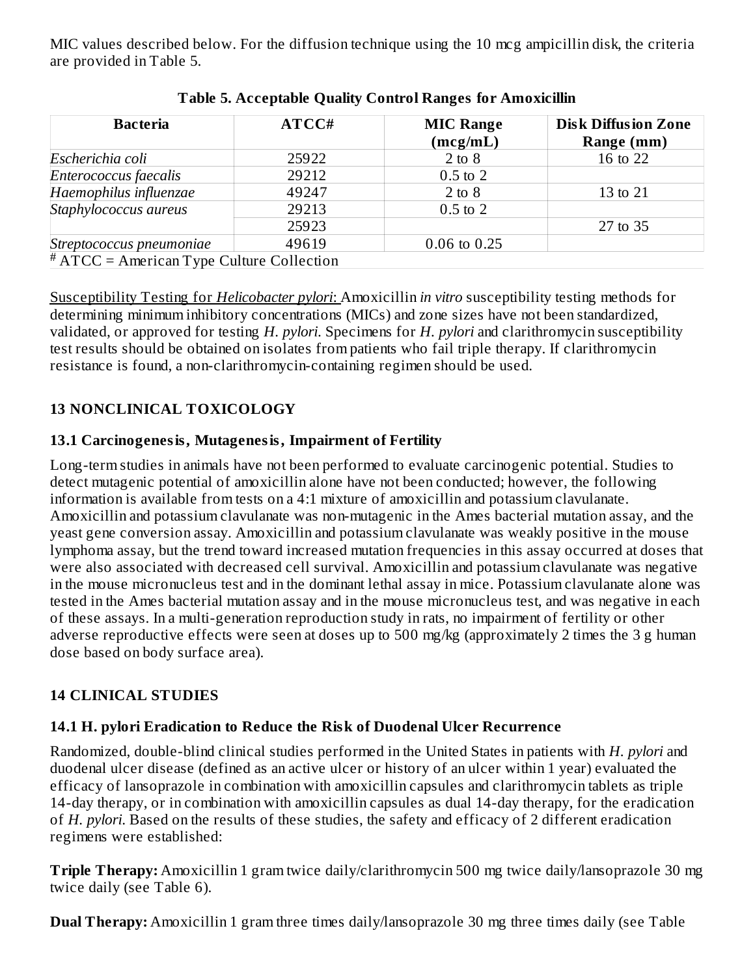MIC values described below. For the diffusion technique using the 10 mcg ampicillin disk, the criteria are provided in Table 5.

| <b>Bacteria</b>                            | ATCC# | <b>MIC Range</b><br>(mcg/mL) | <b>Disk Diffusion Zone</b><br>Range (mm) |
|--------------------------------------------|-------|------------------------------|------------------------------------------|
| Escherichia coli                           | 25922 | $2$ to $8$                   | 16 to 22                                 |
| Enterococcus faecalis                      | 29212 | $0.5$ to $2$                 |                                          |
| Haemophilus influenzae                     | 49247 | 2 to 8                       | 13 to 21                                 |
| Staphylococcus aureus                      | 29213 | $0.5$ to $2$                 |                                          |
|                                            | 25923 |                              | 27 to 35                                 |
| Streptococcus pneumoniae                   | 49619 | $0.06$ to $0.25$             |                                          |
| $#ATCC = American Type Culture Collection$ |       |                              |                                          |

**Table 5. Acceptable Quality Control Ranges for Amoxicillin**

Susceptibility Testing for *Helicobacter pylori*: Amoxicillin *in vitro* susceptibility testing methods for determining minimum inhibitory concentrations (MICs) and zone sizes have not been standardized, validated, or approved for testing *H. pylori*. Specimens for *H. pylori* and clarithromycin susceptibility test results should be obtained on isolates from patients who fail triple therapy. If clarithromycin resistance is found, a non-clarithromycin-containing regimen should be used.

# **13 NONCLINICAL TOXICOLOGY**

# **13.1 Carcinogenesis, Mutagenesis, Impairment of Fertility**

Long-term studies in animals have not been performed to evaluate carcinogenic potential. Studies to detect mutagenic potential of amoxicillin alone have not been conducted; however, the following information is available from tests on a 4:1 mixture of amoxicillin and potassium clavulanate. Amoxicillin and potassium clavulanate was non-mutagenic in the Ames bacterial mutation assay, and the yeast gene conversion assay. Amoxicillin and potassium clavulanate was weakly positive in the mouse lymphoma assay, but the trend toward increased mutation frequencies in this assay occurred at doses that were also associated with decreased cell survival. Amoxicillin and potassium clavulanate was negative in the mouse micronucleus test and in the dominant lethal assay in mice. Potassium clavulanate alone was tested in the Ames bacterial mutation assay and in the mouse micronucleus test, and was negative in each of these assays. In a multi-generation reproduction study in rats, no impairment of fertility or other adverse reproductive effects were seen at doses up to 500 mg/kg (approximately 2 times the 3 g human dose based on body surface area).

# **14 CLINICAL STUDIES**

## **14.1 H. pylori Eradication to Reduce the Risk of Duodenal Ulcer Recurrence**

Randomized, double-blind clinical studies performed in the United States in patients with *H. pylori* and duodenal ulcer disease (defined as an active ulcer or history of an ulcer within 1 year) evaluated the efficacy of lansoprazole in combination with amoxicillin capsules and clarithromycin tablets as triple 14-day therapy, or in combination with amoxicillin capsules as dual 14-day therapy, for the eradication of *H. pylori*. Based on the results of these studies, the safety and efficacy of 2 different eradication regimens were established:

**Triple Therapy:** Amoxicillin 1 gram twice daily/clarithromycin 500 mg twice daily/lansoprazole 30 mg twice daily (see Table 6).

**Dual Therapy:** Amoxicillin 1 gram three times daily/lansoprazole 30 mg three times daily (see Table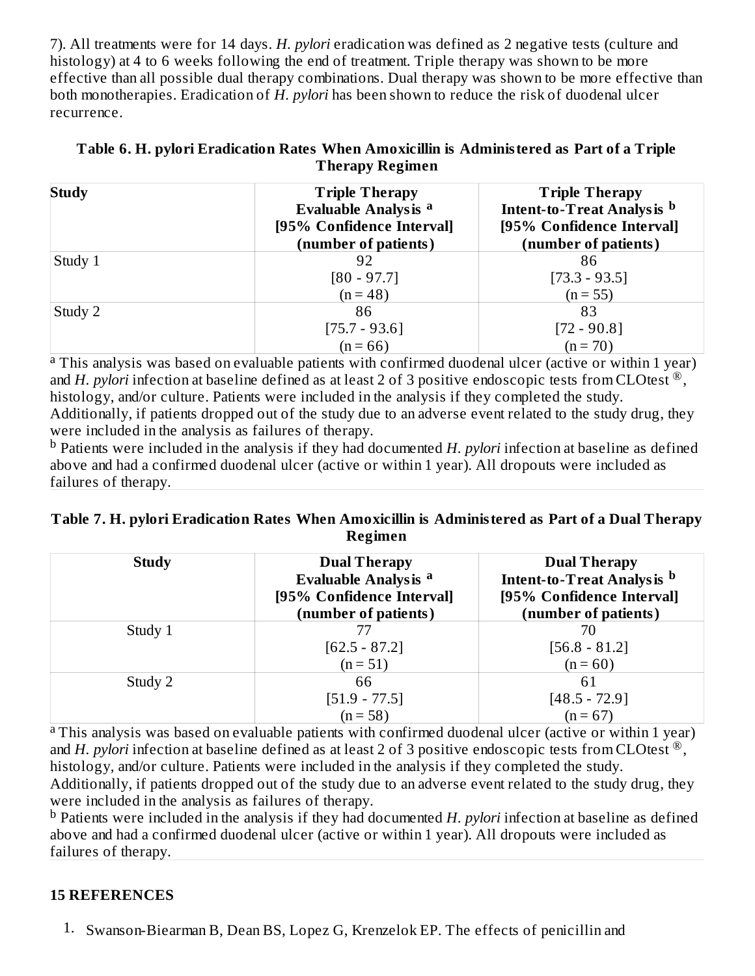7). All treatments were for 14 days. *H. pylori* eradication was defined as 2 negative tests (culture and histology) at 4 to 6 weeks following the end of treatment. Triple therapy was shown to be more effective than all possible dual therapy combinations. Dual therapy was shown to be more effective than both monotherapies. Eradication of *H. pylori* has been shown to reduce the risk of duodenal ulcer recurrence.

#### **Table 6. H. pylori Eradication Rates When Amoxicillin is Administered as Part of a Triple Therapy Regimen**

| <b>Study</b> | <b>Triple Therapy</b><br><b>Evaluable Analysis a</b><br>[95% Confidence Interval]<br>(number of patients) | <b>Triple Therapy</b><br><b>Intent-to-Treat Analysis b</b><br>[95% Confidence Interval]<br>(number of patients) |  |  |
|--------------|-----------------------------------------------------------------------------------------------------------|-----------------------------------------------------------------------------------------------------------------|--|--|
| Study 1      | 92                                                                                                        | 86                                                                                                              |  |  |
|              | $[80 - 97.7]$                                                                                             | $[73.3 - 93.5]$                                                                                                 |  |  |
|              | $(n = 48)$                                                                                                | $(n = 55)$                                                                                                      |  |  |
| Study 2      | 86                                                                                                        | 83                                                                                                              |  |  |
|              | $[75.7 - 93.6]$                                                                                           | $[72 - 90.8]$                                                                                                   |  |  |
|              | $(n = 66)$                                                                                                | $(n = 70)$                                                                                                      |  |  |

<sup>a</sup> This analysis was based on evaluable patients with confirmed duodenal ulcer (active or within 1 year) and *H. pylori* infection at baseline defined as at least 2 of 3 positive endoscopic tests from CLOtest  $^{\circledR}$ , histology, and/or culture. Patients were included in the analysis if they completed the study. Additionally, if patients dropped out of the study due to an adverse event related to the study drug, they were included in the analysis as failures of therapy.

<sup>b</sup> Patients were included in the analysis if they had documented *H. pylori* infection at baseline as defined above and had a confirmed duodenal ulcer (active or within 1 year). All dropouts were included as failures of therapy.

#### **Table 7. H. pylori Eradication Rates When Amoxicillin is Administered as Part of a Dual Therapy Regimen**

| <b>Study</b> | <b>Dual Therapy</b><br><b>Evaluable Analysis a</b><br>[95% Confidence Interval]<br>(number of patients) | <b>Dual Therapy</b><br><b>Intent-to-Treat Analysis b</b><br>[95% Confidence Interval]<br>(number of patients) |  |  |
|--------------|---------------------------------------------------------------------------------------------------------|---------------------------------------------------------------------------------------------------------------|--|--|
| Study 1      |                                                                                                         |                                                                                                               |  |  |
|              | $[62.5 - 87.2]$                                                                                         | $[56.8 - 81.2]$                                                                                               |  |  |
|              | $(n = 51)$                                                                                              | $(n = 60)$                                                                                                    |  |  |
| Study 2      | 66                                                                                                      | 61                                                                                                            |  |  |
|              | $[51.9 - 77.5]$                                                                                         | $[48.5 - 72.9]$                                                                                               |  |  |
|              | $(n = 58)$                                                                                              | $(n = 67)$                                                                                                    |  |  |

<sup>a</sup> This analysis was based on evaluable patients with confirmed duodenal ulcer (active or within 1 year) and *H. pylori* infection at baseline defined as at least 2 of 3 positive endoscopic tests from CLOtest ®, histology, and/or culture. Patients were included in the analysis if they completed the study. Additionally, if patients dropped out of the study due to an adverse event related to the study drug, they were included in the analysis as failures of therapy.

<sup>b</sup> Patients were included in the analysis if they had documented *H. pylori* infection at baseline as defined above and had a confirmed duodenal ulcer (active or within 1 year). All dropouts were included as failures of therapy.

## **15 REFERENCES**

1. Swanson-Biearman B, Dean BS, Lopez G, Krenzelok EP. The effects of penicillin and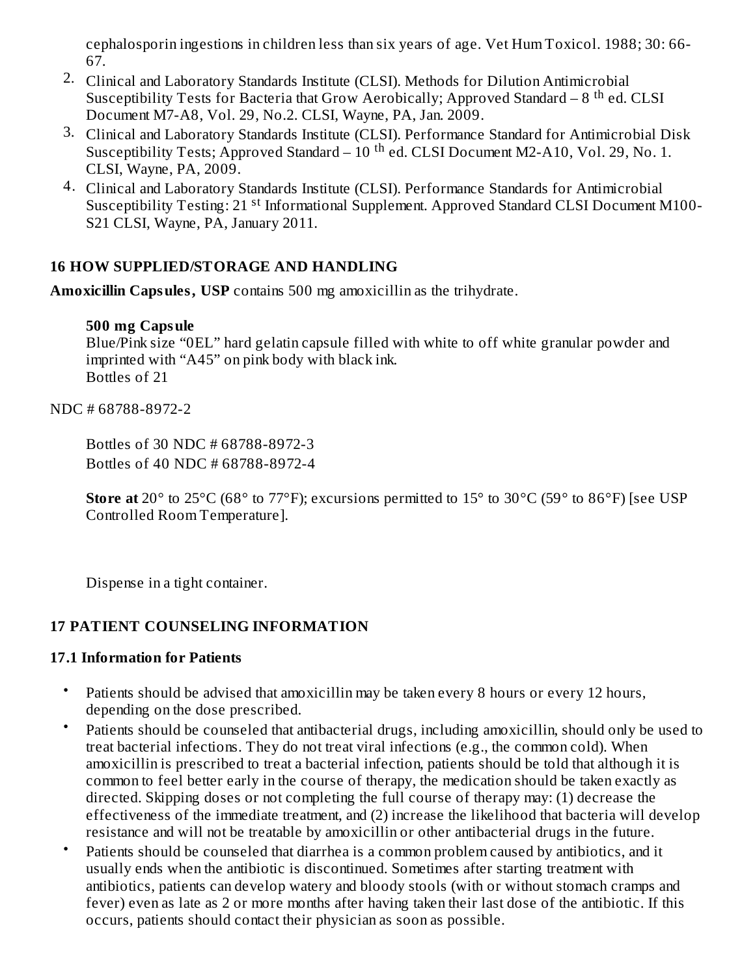cephalosporin ingestions in children less than six years of age. Vet Hum Toxicol. 1988; 30: 66- 67.

- 2. Clinical and Laboratory Standards Institute (CLSI). Methods for Dilution Antimicrobial Susceptibility Tests for Bacteria that Grow Aerobically; Approved Standard – 8 <sup>th</sup> ed. CLSI Document M7-A8, Vol. 29, No.2. CLSI, Wayne, PA, Jan. 2009.
- 3. Clinical and Laboratory Standards Institute (CLSI). Performance Standard for Antimicrobial Disk Susceptibility Tests; Approved Standard –  $10^{th}$  ed. CLSI Document M2-A10, Vol. 29, No. 1. CLSI, Wayne, PA, 2009.
- 4. Clinical and Laboratory Standards Institute (CLSI). Performance Standards for Antimicrobial Susceptibility Testing: 21<sup>st</sup> Informational Supplement. Approved Standard CLSI Document M100-S21 CLSI, Wayne, PA, January 2011.

#### **16 HOW SUPPLIED/STORAGE AND HANDLING**

**Amoxicillin Capsules, USP** contains 500 mg amoxicillin as the trihydrate.

#### **500 mg Capsule**

Blue/Pink size "0EL" hard gelatin capsule filled with white to off white granular powder and imprinted with "A45" on pink body with black ink. Bottles of 21

NDC # 68788-8972-2

Bottles of 30 NDC # 68788-8972-3 Bottles of 40 NDC # 68788-8972-4

**Store at** 20° to 25°C (68° to 77°F); excursions permitted to 15° to 30°C (59° to 86°F) [see USP Controlled Room Temperature].

Dispense in a tight container.

## **17 PATIENT COUNSELING INFORMATION**

#### **17.1 Information for Patients**

- Patients should be advised that amoxicillin may be taken every 8 hours or every 12 hours, depending on the dose prescribed.
- Patients should be counseled that antibacterial drugs, including amoxicillin, should only be used to treat bacterial infections. They do not treat viral infections (e.g., the common cold). When amoxicillin is prescribed to treat a bacterial infection, patients should be told that although it is common to feel better early in the course of therapy, the medication should be taken exactly as directed. Skipping doses or not completing the full course of therapy may: (1) decrease the effectiveness of the immediate treatment, and (2) increase the likelihood that bacteria will develop resistance and will not be treatable by amoxicillin or other antibacterial drugs in the future.
- Patients should be counseled that diarrhea is a common problem caused by antibiotics, and it usually ends when the antibiotic is discontinued. Sometimes after starting treatment with antibiotics, patients can develop watery and bloody stools (with or without stomach cramps and fever) even as late as 2 or more months after having taken their last dose of the antibiotic. If this occurs, patients should contact their physician as soon as possible.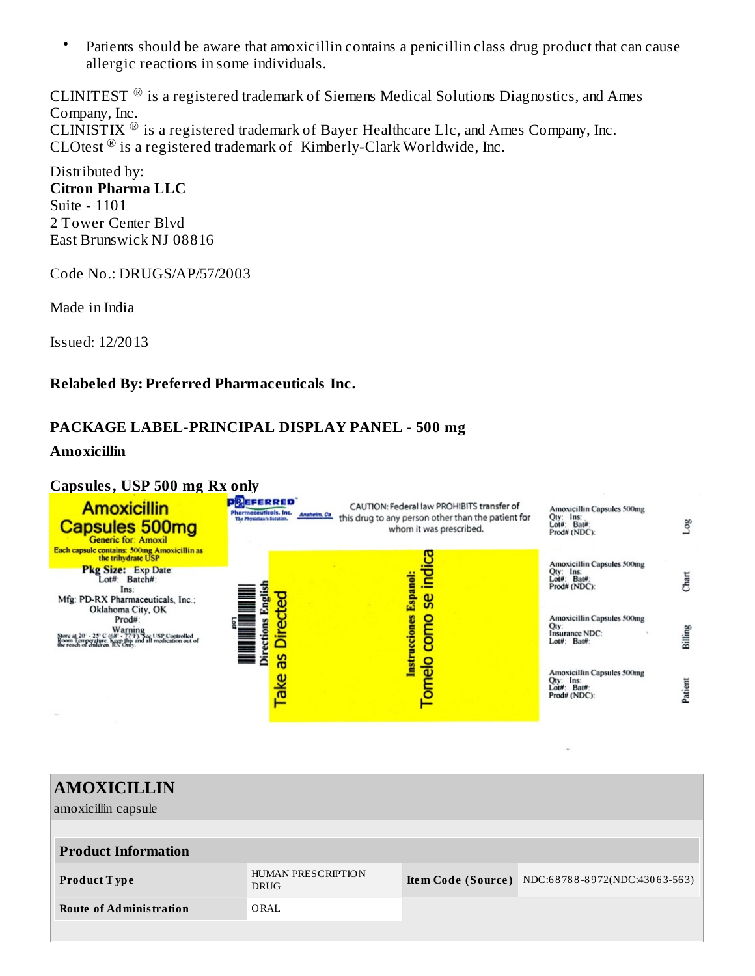• Patients should be aware that amoxicillin contains a penicillin class drug product that can cause allergic reactions in some individuals.

CLINITEST  $^{\circledR}$  is a registered trademark of Siemens Medical Solutions Diagnostics, and Ames Company, Inc.

CLINISTIX  $^{\circledR}$  is a registered trademark of Bayer Healthcare Llc, and Ames Company, Inc. CLOtest  $^{\circledR}$  is a registered trademark of Kimberly-Clark Worldwide, Inc.

Distributed by: **Citron Pharma LLC** Suite - 1101 2 Tower Center Blvd East Brunswick NJ 08816

Code No.: DRUGS/AP/57/2003

Made in India

Issued: 12/2013

#### **Relabeled By: Preferred Pharmaceuticals Inc.**

## **PACKAGE LABEL-PRINCIPAL DISPLAY PANEL - 500 mg**

#### **Amoxicillin**

#### **Capsules, USP 500 mg Rx only**



| <b>AMOXICILLIN</b><br>amoxicillin capsule |                                   |                                                  |
|-------------------------------------------|-----------------------------------|--------------------------------------------------|
|                                           |                                   |                                                  |
| <b>Product Information</b>                |                                   |                                                  |
| Product Type                              | HUMAN PRESCRIPTION<br><b>DRUG</b> | Item Code (Source) NDC:68788-8972(NDC:43063-563) |
| <b>Route of Administration</b>            | ORAL                              |                                                  |
|                                           |                                   |                                                  |